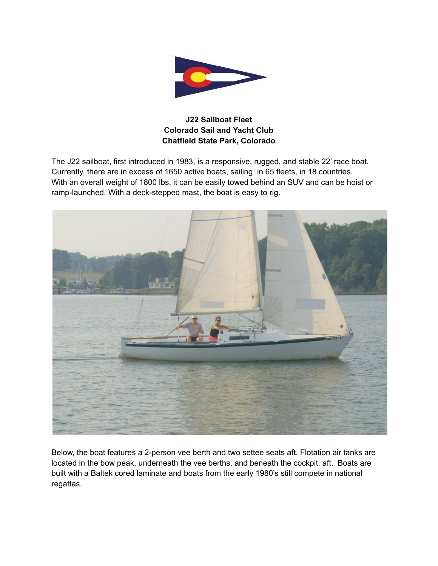

## **J22 Sailboat Fleet Colorado Sail and Yacht Club Chatfield State Park, Colorado**

The J22 sailboat, first introduced in 1983, is a responsive, rugged, and stable 22' race boat. Currently, there are in excess of 1650 active boats, sailing in 65 fleets, in 18 countries. With an overall weight of 1800 lbs, it can be easily towed behind an SUV and can be hoist or ramp-launched. With a deck-stepped mast, the boat is easy to rig.



Below, the boat features a 2-person vee berth and two settee seats aft. Flotation air tanks are located in the bow peak, underneath the vee berths, and beneath the cockpit, aft. Boats are built with a Baltek cored laminate and boats from the early 1980's still compete in national regattas.